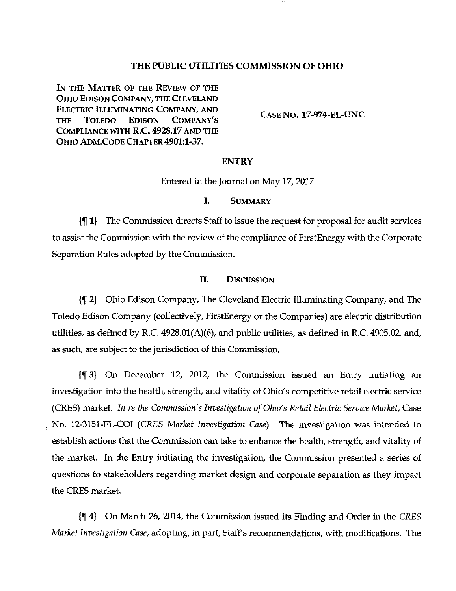#### THE PUBLIC UTILITIES COMMISSION OF OHIO

IN THE MATTER OF THE REVIEW OF THE OHIO EDISON COMPANY, THE CLEVELAND ELECTRIC ILLUMINATING COMPANY, AND THE TOLEDO EDISON COMPANY'S COMPLIANCE WITH R.C. 4928.17 AND THE OHIO ADM.CODE CHAPTER 4901:1-37.

CASE NO. 17-974-EL-UNC

#### ENTRY

Entered in the Journal on May 17, 2017

#### I. SUMMARY

 $\P$  1} The Commission directs Staff to issue the request for proposal for audit services to assist the Commission with the review of the compliance of FirstEnergy with the Corporate Separation Rules adopted by the Commission.

#### II. DISCUSSION

If 2) Ohio Edison Company, The Cleveland Electric Illuminating Company, and The Toledo Edison Company (collectively, FirstEnergy or the Companies) are electric distribution utilities, as defined by R.C. 4928.01(A)(6), and public utilities, as defined in R.C. 4905.02, and, as such, are subject to the jurisdiction of this Commission.

 $\{\P\}$  On December 12, 2012, the Commission issued an Entry initiating an investigation into the health, strength, and vitality of Ohio's competitive retail electric service (CRES) market. In re the Commission's Investigation of Ohio's Retail Electric Service Market, Case No. 12-3151-EL-COI (CRES Market Investigation Case). The investigation was intended to establish actions that the Commission can take to enhance the health, strength, and vitality of the market. In the Entry initiating the investigation, the Commission presented a series of questions to stakeholders regarding market design and corporate separation as they impact the CRES market.

If 4) On March 26, 2014, the Commission issued its Finding and Order in the CRES Market Investigation Case, adopting, in part, Staff's recommendations, with modifications. The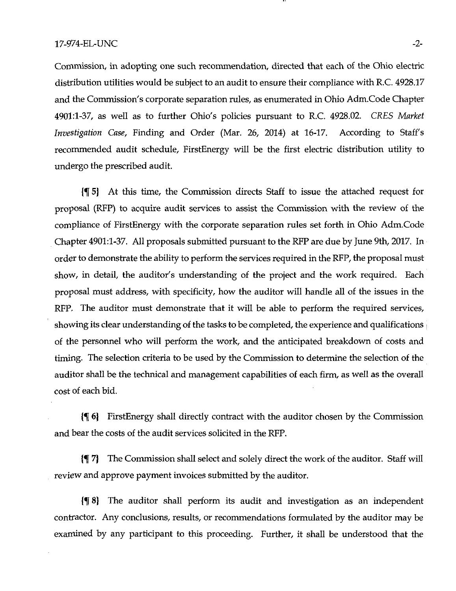Commission, in adopting one such reconunendation, directed that each of the Ohio electric distribution utilities would be subject to an audit to ensure their compliance with R.C. 4928.17 and the Commission's corporate separation rules, as enumerated in Ohio Adm.Code Chapter 4901:1-37, as well as to further Ohio's policies pursuant to R.C. 4928.02. CRES Market Investigation Case, Finding and Order (Mar. 26, 2014) at 16-17. According to Staff's recommended audit schedule, FirstEnergy will be the first electric distribution utility to undergo the prescribed audit.

If 5) At this time, the Commission directs Staff to issue the attached request for proposal (RFP) to acquire audit services to assist the Commission with the review of the compliance of FirstEnergy with the corporate separation rules set forth in Ohio Adm.Code Chapter 4901:1-37. All proposals submitted pursuant to the RFP are due by June 9th, 2017. In order to demonstrate the ability to perform the services required in the RFP, the proposal must show, in detail, the auditor's understanding of the project and the work required. Each proposal must address, with specificity, how the auditor will handle all of the issues in the RFP. The auditor must demonstrate that it will be able to perform the required services, showing its clear understanding of the tasks to be completed, the experience and qualifications of the persormel who will perform the work, and the anticipated breakdown of costs and timing. The selection criteria to be used by the Commission to determine the selection of the auditor shall be the technical and management capabilities of each firm, as well as the overall cost of each bid.

 $\{\P\$  6} FirstEnergy shall directly contract with the auditor chosen by the Commission and bear the costs of the audit services solicited in the RFP.

If 7) The Commission shall select and solely direct the work of the auditor. Staff will review and approve payment invoices submitted by the auditor.

If 8) The auditor shall perform its audit and investigation as an independent contractor. Any conclusions, results, or recommendations formulated by the auditor may be examined by any participant to this proceeding. Further, it shall be understood that the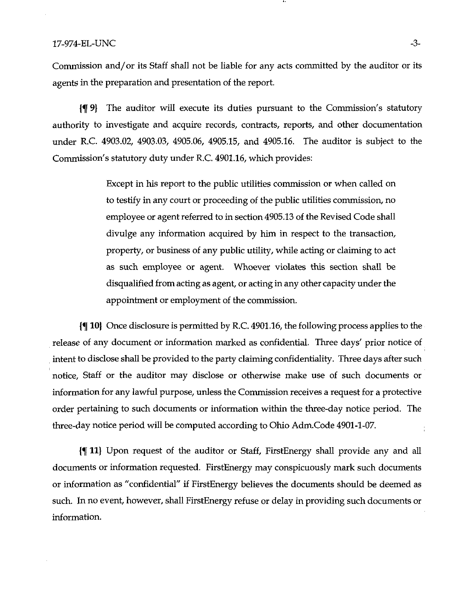#### $17-974$ -EL-UNC  $-3-$

Commission and/or its Staff shall not be liable for any acts committed by the auditor or its agents in the preparation and presentation of the report.

If 9) The auditor will execute its duties pursuant to the Commission's statutory authority to investigate and acquire records, contracts, reports, and other documentation under R.C. 4903.02, 4903.03, 4905.06, 4905.15, and 4905.16. The auditor is subject to the Commission's statutory duty under R.C. 4901.16, which provides:

> Except in his report to the public utilities commission or when called on to testify in any court or proceeding of the public utilities commission, no employee or agent referred to in section 4905.13 of the Revised Code shall divulge any information acquired by him in respect to the transaction, property, or business of any public utility, while acting or claiming to act as such employee or agent. Whoever violates this section shall be disqualified from acting as agent, or acting in any other capacity under the appointment or employment of the commission.

 $\{\P\}$  10) Once disclosure is permitted by R.C. 4901.16, the following process applies to the release of any document or information marked as confidential. Three days' prior notice of intent to disclose shall be provided to the party claiming confidentiality. Three days after such notice. Staff or the auditor may disclose or otherwise make use of such documents or information for any lawful purpose, unless the Commission receives a request for a protective order pertaining to such documents or information within the three-day notice period. The three-day notice period will be computed according to Ohio Adm.Code 4901-1-07.

jf 11} Upon request of the auditor or Staff, FirstEnergy shall provide any and all documents or information requested. FirstEnergy may conspicuously mark such documents or information as "confidential" if FirstEnergy believes the documents should be deemed as such. In no event, however, shall FirstEnergy refuse or delay in providing such documents or information.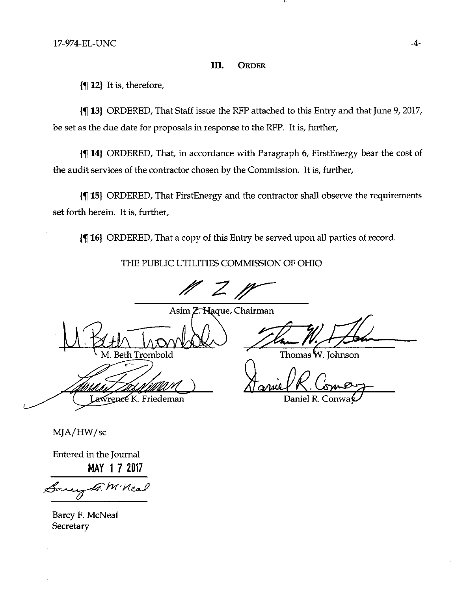#### III. ORDER

 $\P$  12) It is, therefore,

If 13} ORDERED, That Staff issue the RFP attached to this Entry and that June 9, 2017, be set as the due date for proposals in response to the RFP. It is, further.

If 14) ORDERED, That, in accordance with Paragraph 6, FirstEnergy bear the cost of the audit services of the contractor chosen by the Commission. It is, further.

If 15) ORDERED, That FirstEnergy and the contractor shall observe the requirements set forth herein. It is, further.

If 16) ORDERED, That a copy of this Entry be served upon all parties of record.

THE PUBLIC UTILITIES COMMISSION OF OHIO

 $M$  Z  $M$ 

Asim Z. Haque, Chairman  $\sharp\!\ell\!\!\!\perp\!\!\!\perp\!\!\!\perp\!\!\!\perp\!\!\!\perp$ th Trombold

 $\mathscr{L}$ ma $\mathscr{M}$   $\setminus$ awrence K. Friedeman

Thomas W. Johnson

Daniel R. Conwa^-^

MJA/HW/sc

Entered in the Journal MAY 17 2017

 $\mathcal{M}'$ Kea

Barcy F. McNeal **Secretary**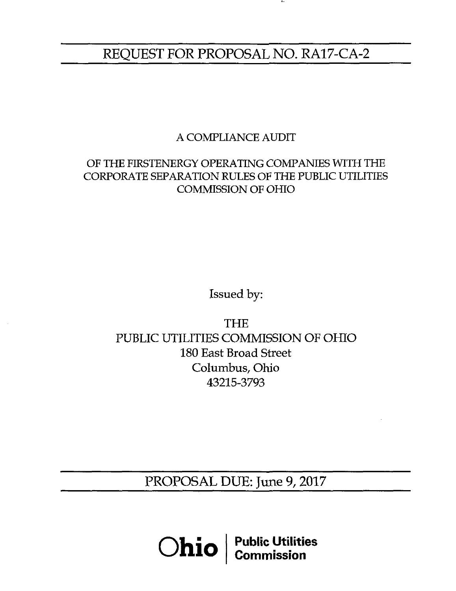# REQUEST FOR PROPOSAL NO. RA17-CA-2

# A COMPLIANCE AUDIT

# OF THE FIRSTENERGY OPERATING COMPANIES WITH THE CORPORATE SEPARATION RULES OF THE PUBLIC UTILITIES COMMISSION OF OHIO

Issued by:

THE PUBLIC UTILITIES COMMISSION OF OHIO 180 East Broad Street Columbus, Ohio 43215-3793

PROPOSAL DUE: June 9, 2017

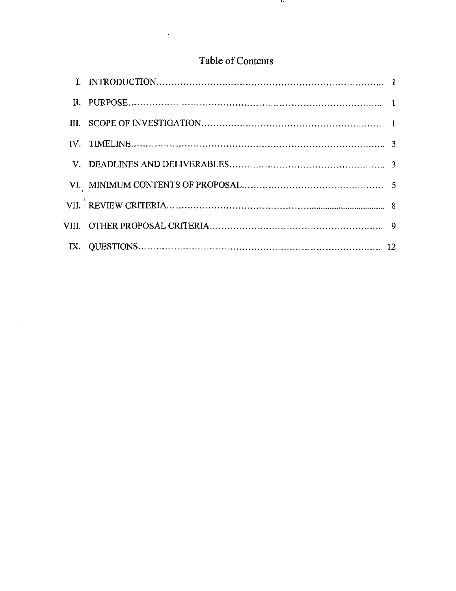# Table of Contents

 $\mathcal{A}$ 

 $\mathcal{L}^{\text{max}}_{\text{max}}$ 

 $\mathcal{L}^{\text{max}}_{\text{max}}$  .

 $\mathbf{r}$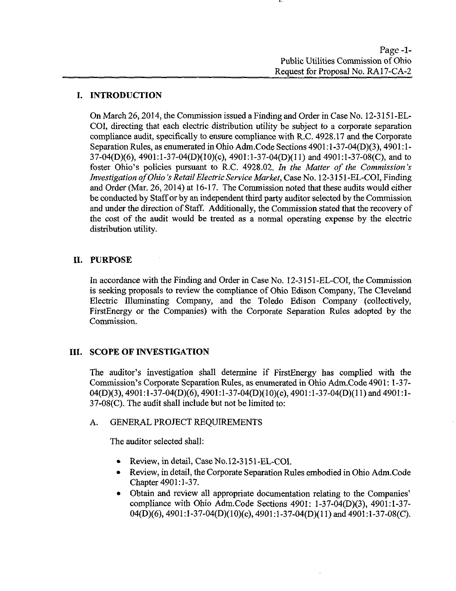# I. INTRODUCTION

On March 26,2014, the Commission issued a Finding and Order in Case No. 12-3151 -EL-COI, directing that each electric distribution utility be subject to a corporate separation compliance audit, specifically to ensure compliance with R.C. 4928.17 and the Corporate Separation Rules, as enumerated in Ohio Adm.Code Sections 4901:1-37-04(D)(3), 4901:1-37-04(D)(6), 4901:l-37-04(D)(10)(c), 4901:l-37-04(D)(ll) and 4901:l-37-08(C), and to foster Ohio's policies pursuant to R.C. 4928.02. In the Matter of the Commission's Investigation of Ohio's Retail Electric Service Market, Case No. 12-3151 -BL-COI, Finding and Order (Mar. 26, 2014) at 16-17. The Commission noted that these audits would either be conducted by Staff or by an independent third party auditor selected by the Commission and under the direction of Staff. Additionally, the Commission stated that the recovery of the cost of the audit would be treated as a normal operating expense by the electric distribution utility.

# II. PURPOSE

In accordance with the Finding and Order in Case No. 12-3151-EL-COI, the Commission is seeking proposals to review the compliance of Ohio Edison Company, The Cleveland Electric Illuminating Company, and the Toledo Edison Company (collectively, FirstEnergy or the Companies) with the Corporate Separation Rules adopted by the Commission.

# III. SCOPE OF INVESTIGATION

The auditor's investigation shall determine if FirstEnergy has complied with the Commission's Corporate Separation Rules, as enumerated in Ohio Adm.Code 4901:1-37- 04(D)(3), 4901:l-37-04(D)(6),4901:l-37-04(D)(10)(c), 4901:l-37-04(D)(ll)and 4901:1- 37-08(C). The audit shall include but not be limited to:

# A. GENERAL PROJECT REQUIREMENTS

The auditor selected shall:

- Review, in detail, Case No.12-3151-EL-COI.
- Review, in detail, the Corporate Separation Rules embodied in Ohio Adm.Code Chapter 4901:1-37.
- Obtain and review all appropriate documentation relating to the Companies' compliance with Ohio Adm.Code Sections 4901: l-37-04(D)(3), 4901:1-37- 04(D)(6), 4901:1-37-04(D)(10)(c), 4901:1-37-04(D)(11) and 4901:1-37-08(C).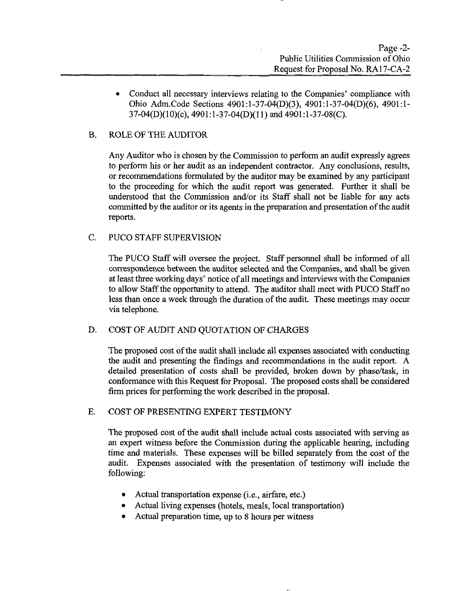• Conduct all necessary interviews relating to the Companies' compliance with Ohio Adm.Code Sections 4901:l-37-04(D)(3), 4901:l-37-04(D)(6), 4901:1- 37-04(D)(10)(c), 4901:l-37-04(D)(l 1) and 4901 :l-37-08(C).

# B. ROLE OF THE AUDITOR

Any Auditor who is chosen by the Commission to perform an audit expressly agrees to perform his or her audit as an independent contractor. Any conclusions, results, or recommendations formulated by the auditor may be examined by any participant to the proceeding for which the audit report was generated. Further it shall be understood that the Commission and/or its Staff shall not be liable for any acts committed by the auditor or its agents in the preparation and presentation of the audit reports.

C. PUCO STAFF SUPERVISION

The PUCO Staff will oversee the project. Staff personnel shall be informed of all correspondence between the auditor selected and the Companies, and shall be given at least three working days' notice of all meetings and interviews with the Companies to allow Staff the opportunity to attend. The auditor shall meet with PUCO Staff no less than once a week through the duration of the audit. These meetings may occur via telephone.

#### D. COST OF AUDIT AND QUOTATION OF CHARGES

The proposed cost of the audit shall include all expenses associated with conducting the audit and presenting the findings and recommendations in the audit report. A detailed presentation of costs shall be provided, broken down by phase/task, in conformance with this Request for Proposal. The proposed costs shall be considered firm prices for performing the work described in the proposal.

#### E. COST OF PRESENTING EXPERT TESTIMONY

The proposed cost of the audit shall include actual costs associated with serving as an expert witness before the Commission during the applicable hearing, including time and materials. These expenses will be billed separately from the cost of the audit. Expenses associated with the presentation of testimony will include the following:

- Actual transportation expense (i.e., airfare, etc.)
- Actual living expenses (hotels, meals, local transportation)
- Actual preparation time, up to 8 hours per witness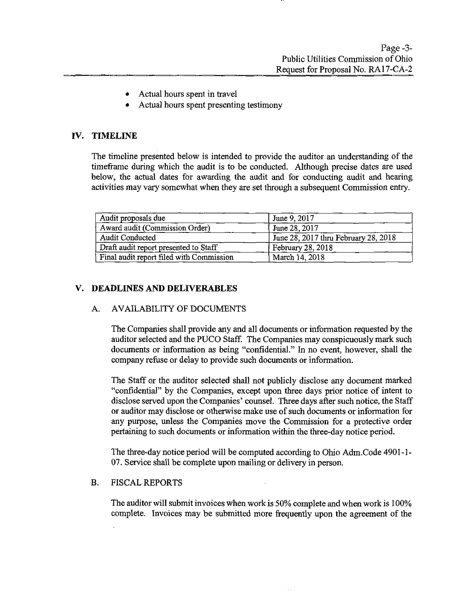- Actual hours spent in travel
- Actual hours spent presenting testimony

# IV. TIMELINE

The timeline presented below is intended to provide the auditor an understanding of the timeframe during which the audit is to be conducted. Although precise dates are used below, the actual dates for awarding the audit and for conducting audit and hearing activities may vary somewhat when they are set through a subsequent Commission entry.

| Audit proposals due                      | June 9, 2017                         |
|------------------------------------------|--------------------------------------|
| Award audit (Commission Order)           | June 28, 2017                        |
| Audit Conducted                          | June 28, 2017 thru February 28, 2018 |
| Draft audit report presented to Staff    | February 28, 2018                    |
| Final audit report filed with Commission | March 14, 2018                       |

# V. DEADLINES AND DELIVERABLES

# A. AVAILABILITY OF DOCUMENTS

The Companies shall provide any and all documents or information requested by the auditor selected and the PUCO Staff. The Companies may conspicuously mark such documents or information as being "confidential." In no event, however, shall the company refuse or delay to provide such documents or information.

The Staff or the auditor selected shall not publicly disclose any document marked "confidential" by the Companies, except upon three days prior notice of intent to disclose served upon the Companies' counsel. Three days after such notice, the Staff or auditor may disclose or otherwise make use of such documents or information for any purpose, unless the Companies move the Commission for a protective order pertaining to such documents or information within the three-day notice period.

The three-day notice period will be computed according to Ohio Adm.Code 4901-1- 07. Service shall be complete upon mailing or delivery in person.

#### B. FISCAL REPORTS

The auditor will submit invoices when work is 50% complete and when work is 100% complete. Invoices may be submitted more frequently upon the agreement of the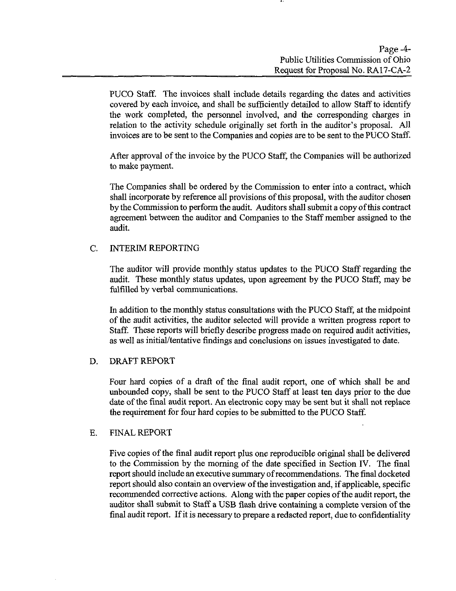PUCO Staff. The invoices shall include details regarding the dates and activities covered by each invoice, and shall be sufficiently detailed to allow Staff to identify the work completed, the personnel involved, and the corresponding charges in relation to the activity schedule originally set forth in the auditor's proposal. All invoices are to be sent to the Companies and copies are to be sent to the PUCO Staff.

After approval of the invoice by the PUCO Staff, the Companies will be authorized to make payment.

The Companies shall be ordered by the Commission to enter into a contract, which shall incorporate by reference all provisions of this proposal, with the auditor chosen by the Commission to perform the audit. Auditors shall submit a copy of this contract agreement between the auditor and Companies to the Staff member assigned to the audit.

# C. INTERIM REPORTING

The auditor will provide monthly status updates to the PUCO Staff regarding the audit. These monthly status updates, upon agreement by the PUCO Staff, may be falfilled by verbal communications.

In addition to the monthly status consultations with the PUCO Staff, at the midpoint of the audit activities, the auditor selected will provide a written progress report to Staff. These reports will briefly describe progress made on required audit activities, as well as initial/tentative findings and conclusions on issues investigated to date.

#### D. DRAFT REPORT

Four hard copies of a draft of the final audit report, one of which shall be and unbounded copy, shall be sent to the PUCO Staff at least ten days prior to the due date of the final audit report. An electronic copy may be sent but it shall not replace the requirement for four hard copies to be submitted to the PUCO Staff.

#### E. FINAL REPORT

Five copies of the final audit report plus one reproducible original shall be delivered to the Commission by the morning of the date specified in Section IV. The final report should include an executive summary of recommendations. The final docketed report should also contain an overview of the investigation and, if applicable, specific recommended corrective actions. Along with the paper copies of the audit report, the auditor shall submit to Staff a USB flash drive containing a complete version of the final audit report. If it is necessary to prepare a redacted report, due to confidentiality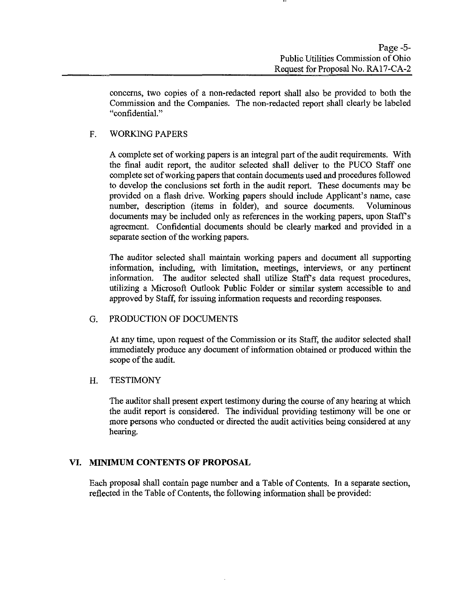concems, two copies of a non-redacted report shall also be provided to both the Commission and the Companies. The non-redacted report shall clearly be labeled "confidential."

# F. WORKING PAPERS

A complete set of working papers is an integral part of the audit requirements. With the final audit report, the auditor selected shall deliver to the PUCO Staff one complete set of working papers that contain documents used and procedures followed to develop the conclusions set forth in the audit report. These documents may be provided on a flash drive. Working papers should include Applicant's name, case number, description (items in folder), and source documents. Voluminous documents may be included only as references in the working papers, upon Staff's agreement. Confidential documents should be clearly marked and provided in a separate section of the working papers.

The auditor selected shall maintain working papers and document all supporting information, including, with limitation, meetings, interviews, or any pertinent information. The auditor selected shall utilize Staff's data request procedures, utilizing a Microsoft Outiook Public Folder or similar system accessible to and approved by Staff, for issuing information requests and recording responses.

# G. PRODUCTION OF DOCUMENTS

At any time, upon request of the Commission or its Staff, the auditor selected shall immediately produce any document of information obtained or produced within the scope of the audit.

#### H. TESTIMONY

The auditor shall present expert testimony during the course of any hearing at which the audit report is considered. The individual providing testimony will be one or more persons who conducted or directed the audit activities being considered at any hearing.

# VI. MINIMUM CONTENTS OF PROPOSAL

Each proposal shall contain page number and a Table of Contents. In a separate section, reflected in the Table of Contents, the following information shall be provided: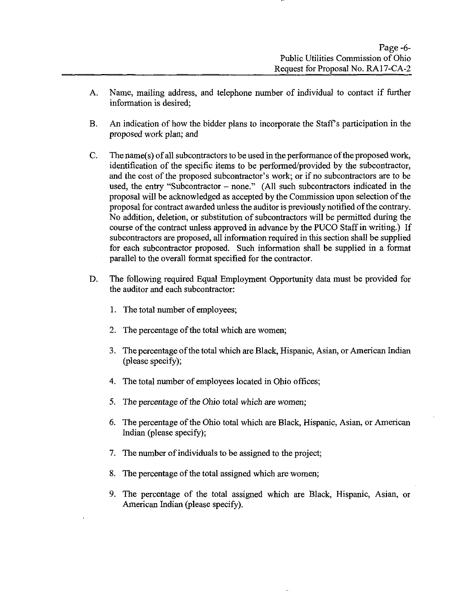- A. Name, mailing address, and telephone number of individual to contact if further information is desired;
- B. An indication of how the bidder plans to incorporate the Staffs participation in the proposed work plan; and
- C. The name(s) of all subcontractors to be used in the performance of the proposed work, identification of the specific items to be performed/provided by the subcontractor, and the cost of the proposed subcontractor's work; or if no subcontractors are to be used, the entry "Subcontractor  $-$  none." (All such subcontractors indicated in the proposal will be acknowledged as accepted by the Commission upon selection of the proposal for contract awarded imless the auditor is previously notified of the contrary. No addition, deletion, or substitution of subcontractors will be permitted during the course of the contract unless approved in advance by the PUCO Staff in writing.) If subcontractors are proposed, all information required in this section shall be supplied for each subcontractor proposed. Such information shall be supplied in a format parallel to the overall format specified for the contractor.
- D. The following required Equal Employment Opportunity data must be provided for the auditor and each subcontractor:
	- 1. The total number of employees;
	- 2. The percentage of the total which are women;
	- 3. The percentage of the total which are Black, Hispanic, Asian, or American Indian (please specify);
	- 4. The total number of employees located in Ohio offices;
	- 5. The percentage of the Ohio total which are women;
	- 6. The percentage of the Ohio total which are Black, Hispanic, Asian, or American Indian (please specify);
	- 7. The number of individuals to be assigned to the project;
	- 8. The percentage of the total assigned which are women;
	- 9. The percentage of the total assigned which are Black, Hispanic, Asian, or American Indian (please specify).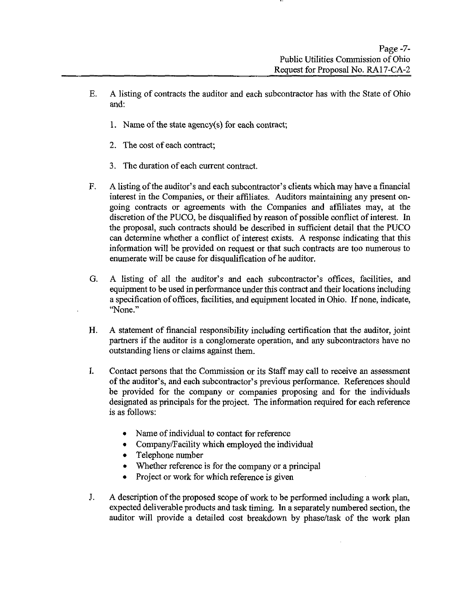- E. A listing of contracts the auditor and each subcontractor has with the State of Ohio and:
	- 1. Name of the state agency(s) for each contract;
	- 2. The cost of each contract;
	- 3. The duration of each current contract.
- F. A listing of the auditor's and each subcontractor's clients which may have a financial interest in the Companies, or their affiliates. Auditors maintaining any present ongoing contracts or agreements with the Companies and affiliates may, at the discretion of the PUCO, be disqualified by reason of possible conflict of interest. In the proposal, such contracts should be described in sufficient detail that the PUCO can determine whether a conflict of interest exists. A response indicating that this information will be provided on request or that such contracts are too numerous to enumerate will be cause for disqualification of he auditor.
- G. A listing of all the auditor's and each subcontractor's offices, facilities, and equipment to be used in performance under this contract and their locations including a specification of offices, facilities, and equipment located in Ohio. If none, indicate, "None."
- H. A statement of financial responsibility including certification that the auditor, joint partners if the auditor is a conglomerate operation, and any subcontractors have no outstanding liens or claims against them.
- I. Contact persons that the Commission or its Staff may call to receive an assessment of the auditor's, and each subcontractor's previous performance. References should be provided for the company or companies proposing and for the individuals designated as principals for the project. The information required for each reference is as follows:
	- Name of individual to contact for reference
	- Company/Facility which employed the individual
	- Telephone number
	- Whether reference is for the company or a principal
	- Project or work for which reference is given
- J. A description of the proposed scope of work to be performed including a work plan, expected deliverable products and task timing. In a separately numbered section, the auditor will provide a detailed cost breakdown by phase/task of the work plan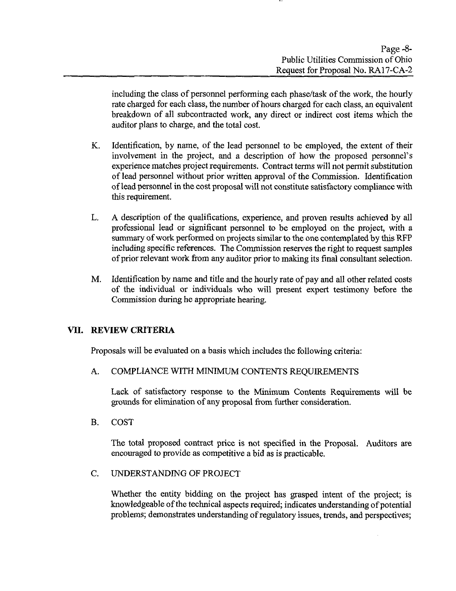including the class of persormel performing each phase/task of the work, the hourly rate charged for each class, the number of hours charged for each class, an equivalent breakdown of all subcontracted work, any direct or indirect cost items which the auditor plans to charge, and the total cost.

- K. Identification, by name, of the lead persormel to be employed, the extent of their involvement in the project, and a description of how the proposed personnel's experience matches project requirements. Contract terms will not permit substitution of lead persormel without prior written approval of the Commission. Identification of lead personnel in the cost proposal will not constitute satisfactory compliance with this requirement.
- L. A description of the qualifications, experience, and proven results achieved by all professional lead or significant persormel to be employed on the project, with a summary of work performed on projects similar to the one contemplated by this RFP including specific references. The Commission reserves the right to request samples of prior relevant work from any auditor prior to making its final consultant selection.
- M. Identification by name and title and the hourly rate of pay and all other related costs of the individual or individuals who will present expert testimony before the Commission during he appropriate hearing.

# VII. REVIEW CRITERIA

Proposals will be evaluated on a basis which includes the following criteria:

# A. COMPLIANCE WITH MINIMUM CONTENTS REQUIREMENTS

Lack of satisfactory response to the Minimum Contents Requirements will be grounds for elimination of any proposal from further consideration.

B. COST

The total proposed contract price is not specified in the Proposal. Auditors are encouraged to provide as competitive a bid as is practicable.

C. UNDERSTANDING OF PROJECT

Whether the entity bidding on the project has grasped intent of the project; is knowledgeable of the technical aspects required; indicates understanding of potential problems; demonstrates understanding of regulatory issues, trends, and perspectives;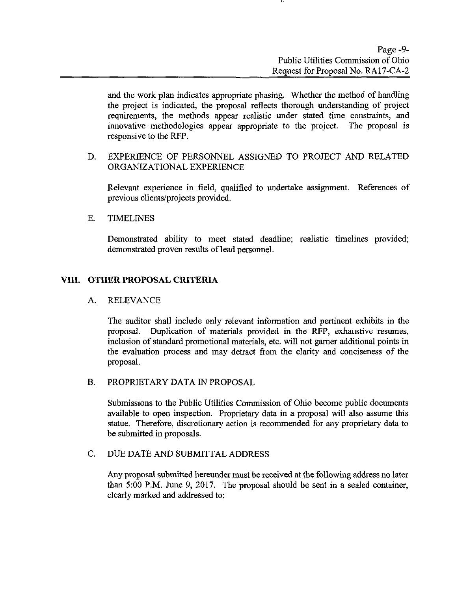and the work plan indicates appropriate phasing. Whether the method of handling the project is indicated, the proposal reflects thorough imderstanding of project requirements, the methods appear realistic under stated time constraints, and innovative methodologies appear appropriate to the project. The proposal is responsive to the RFP.

# D. EXPERIENCE OF PERSONNEL ASSIGNED TO PROJECT AND RELATED ORGANIZATIONAL EXPERIENCE

Relevant experience in field, qualified to undertake assignment. References of previous clients/projects provided.

#### E. TIMELINES

Demonstrated ability to meet stated deadline; realistic timelines provided; demonstrated proven results of lead persormel.

# VIII. OTHER PROPOSAL CRITERIA

#### A. RELEVANCE

The auditor shall include only relevant information and pertinent exhibits in the proposal. Duplication of materials provided in the RFP, exhaustive resumes, inclusion of standard promotional materials, etc. will not gamer additional points in the evaluation process and may detract from the clarity and conciseness of the proposal.

# B. PROPRIETARY DATA IN PROPOSAL

Submissions to the Public Utilities Commission of Ohio become public documents available to open inspection. Proprietary data in a proposal will also assume this statue. Therefore, discretionary action is recommended for any proprietary data to be submitted in proposals.

#### C. DUE DATE AND SUBMITTAL ADDRESS

Any proposal submitted hereunder must be received at the following address no later than 5:00 P.M. June 9, 2017. The proposal should be sent in a sealed container, clearly marked and addressed to: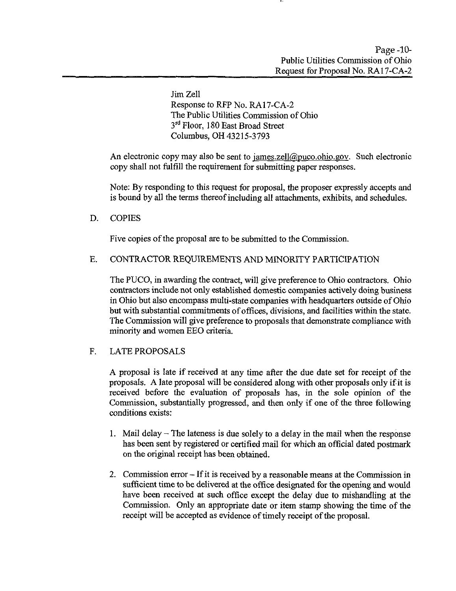Jim Zell Response to RFP No. RA17-CA-2 The Public Utilities Commission of Ohio 3<sup>rd</sup> Floor, 180 East Broad Street Columbus, OH 43215-3793

An electronic copy may also be sent to  $\text{james}$ . zell $\text{@puco.ohio.gov}$ . Such electronic copy shall not fulfill the requirement for submitting paper responses.

Note: By responding to this request for proposal, the proposer expressly accepts and is bound by all the terms thereof including all attachments, exhibits, and schedules.

# D. COPIES

Five copies of the proposal are to be submitted to the Commission.

# E. CONTRACTOR REQUIREMENTS AND MINORITY PARTICIPATION

The PUCO, in awarding the contract, will give preference to Ohio contractors. Ohio contractors include not only established domestic companies actively doing business in Ohio but also encompass multi-state companies with headquarters outside of Ohio but with substantial commitments of offices, divisions, and facilities within the state. The Commission will give preference to proposals that demonstrate compliance with minority and women EEO criteria.

# F. LATE PROPOSALS

A proposal is late if received at any time after the due date set for receipt of the proposals. A late proposal will be considered along with other proposals only if it is received before the evaluation of proposals has, in the sole opinion of the Commission, substantially progressed, and then only if one of the three following conditions exists:

- 1. Mail delay The lateness is due solely to a delay in the mail when the response has been sent by registered or certified mail for which an official dated postmark on the original receipt has been obtained.
- 2. Commission error If it is received by a reasonable means at the Commission in sufficient time to be delivered at the office designated for the opening and would have been received at such office except the delay due to mishandling at the Commission. Only an appropriate date or item stamp showing the time of the receipt will be accepted as evidence of timely receipt of the proposal.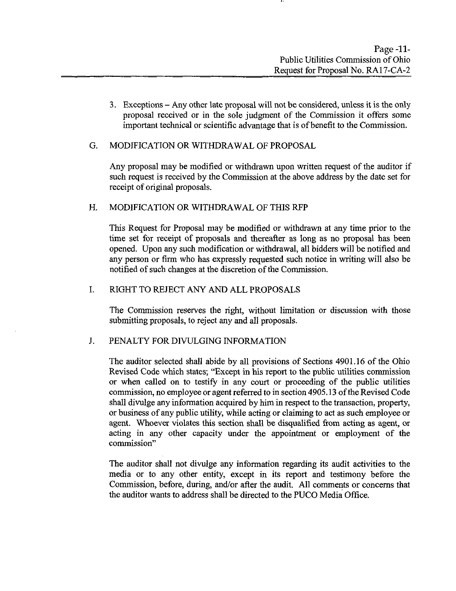3. Exceptions - Any other late proposal will not be considered, unless it is the only proposal received or in the sole judgment of the Commission it offers some important technical or scientific advantage that is of benefit to the Commission.

#### G. MODIFICATION OR WITHDRAWAL OF PROPOSAL

Any proposal may be modified or withdrawn upon written request of the auditor if such request is received by the Commission at the above address by the date set for receipt of original proposals.

#### H. MODIFICATION OR WITHDRAWAL OF THIS RFP

This Request for Proposal may be modified or withdrawn at any time prior to the time set for receipt of proposals and thereafter as long as no proposal has been opened. Upon any such modification or withdrawal, all bidders will be notified and any person or firm who has expressly requested such notice in writing will also be notified of such changes at the discretion of the Commission.

# I. RIGHT TO REJECT ANY AND ALL PROPOSALS

The Commission reserves the right, without limitation or discussion with those submitting proposals, to reject any and all proposals.

#### J. PENALTY FOR DIVULGING INFORMATION

The auditor selected shall abide by all provisions of Sections 4901.16 of the Ohio Revised Code which states; "Except in his report to the public utilities commission or when called on to testify in any court or proceeding of the public utilities commission, no employee or agent referred to in section 4905.13 of the Revised Code shall divulge any information acquired by him in respect to the transaction, property, or business of any public utility, while acting or claiming to act as such employee or agent. Whoever violates this section shall be disqualified from acting as agent, or acting in any other capacity under the appointment or employment of the commission"

The auditor shall not divulge any information regarding its audit activities to the media or to any other entity, except in its report and testimony before the Commission, before, during, and/or after the audit. All comments or concems that the auditor wants to address shall be directed to the PUCO Media Office.